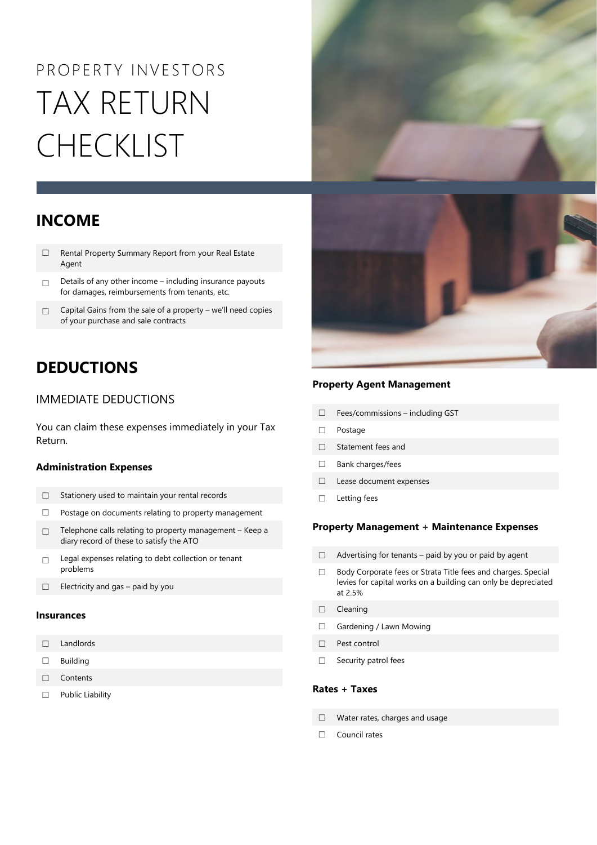# PROPERTY INVESTORS TAX RETURN CHECKLIST

### **INCOME**

- ☐ Rental Property Summary Report from your Real Estate Agent
- ☐ Details of any other income including insurance payouts for damages, reimbursements from tenants, etc.
- □ Capital Gains from the sale of a property we'll need copies of your purchase and sale contracts

## **DEDUCTIONS**

#### IMMEDIATE DEDUCTIONS

You can claim these expenses immediately in your Tax Return.

#### **Administration Expenses**

- ☐ Stationery used to maintain your rental records
- ☐ Postage on documents relating to property management
- ☐ Telephone calls relating to property management Keep a diary record of these to satisfy the ATO
- ☐ Legal expenses relating to debt collection or tenant problems
- ☐ Electricity and gas paid by you

#### **Insurances**

- ☐ Landlords
- ☐ Building
- ☐ Contents
- ☐ Public Liability





#### **Property Agent Management**

- ☐ Fees/commissions including GST
- ☐ Postage
- ☐ Statement fees and
- ☐ Bank charges/fees
- ☐ Lease document expenses
- ☐ Letting fees

#### **Property Management + Maintenance Expenses**

- $\Box$  Advertising for tenants paid by you or paid by agent
- ☐ Body Corporate fees or Strata Title fees and charges. Special levies for capital works on a building can only be depreciated at 2.5%
- ☐ Cleaning
- ☐ Gardening / Lawn Mowing
- ☐ Pest control
- □ Security patrol fees

#### **Rates + Taxes**

- ☐ Water rates, charges and usage
- ☐ Council rates